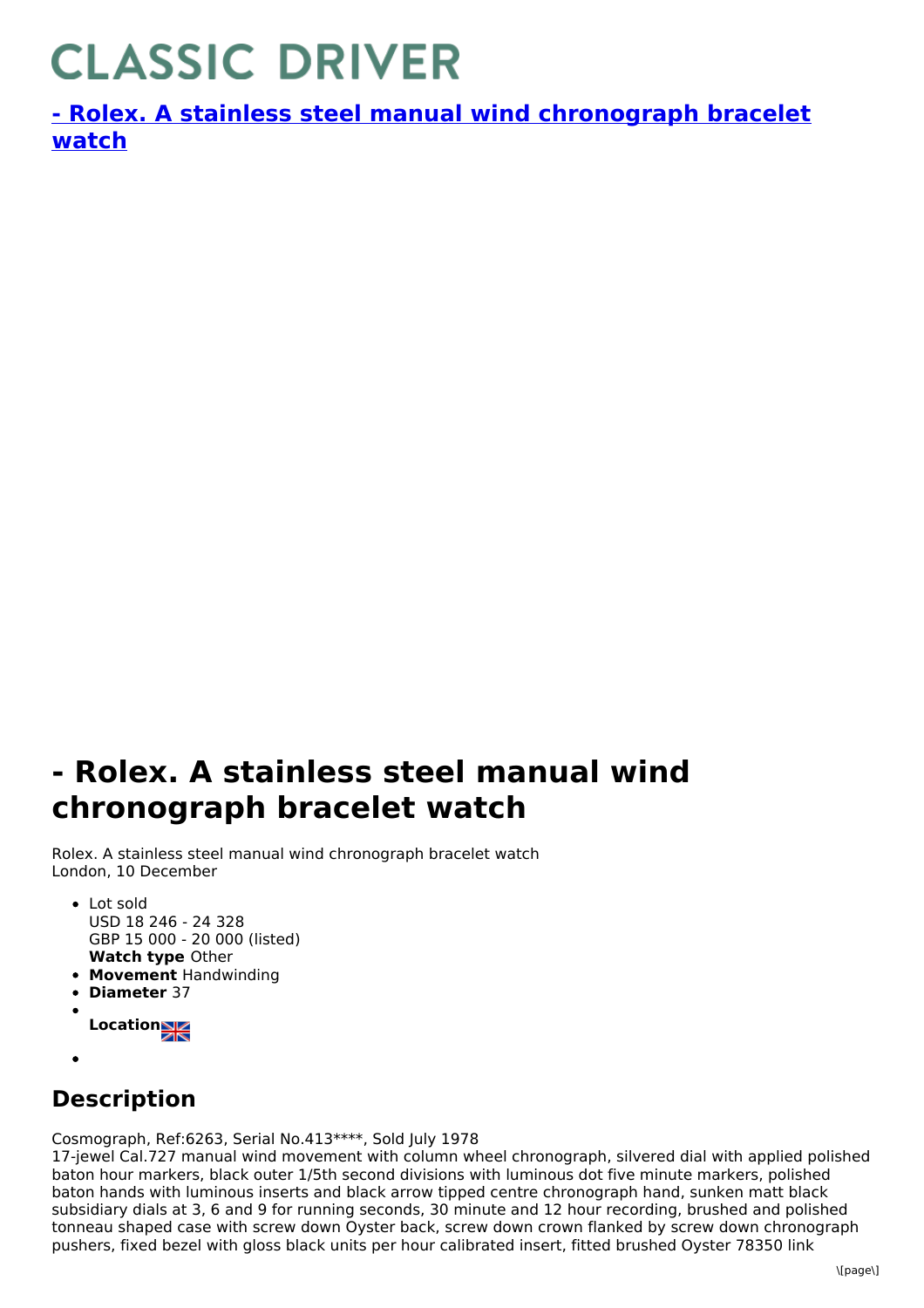## **CLASSIC DRIVER**

**- Rolex. A stainless steel manual wind [chronograph](https://www.classicdriver.com/en/watch/269369) bracelet watch**

## **- Rolex. A stainless steel manual wind chronograph bracelet watch**

Rolex. A stainless steel manual wind chronograph bracelet watch London, 10 December

- **Watch type** Other • Lot sold USD 18 246 - 24 328 GBP 15 000 - 20 000 (listed)
- **Movement** Handwinding
- **Diameter** 37
- **Location**
- 
- **Description**

Cosmograph, Ref:6263, Serial No.413\*\*\*\*, Sold July 1978

17-jewel Cal.727 manual wind movement with column wheel chronograph, silvered dial with applied polished baton hour markers, black outer 1/5th second divisions with luminous dot five minute markers, polished baton hands with luminous inserts and black arrow tipped centre chronograph hand, sunken matt black subsidiary dials at 3, 6 and 9 for running seconds, 30 minute and 12 hour recording, brushed and polished tonneau shaped case with screw down Oyster back, screw down crown flanked by screw down chronograph pushers, fixed bezel with gloss black units per hour calibrated insert, fitted brushed Oyster 78350 link